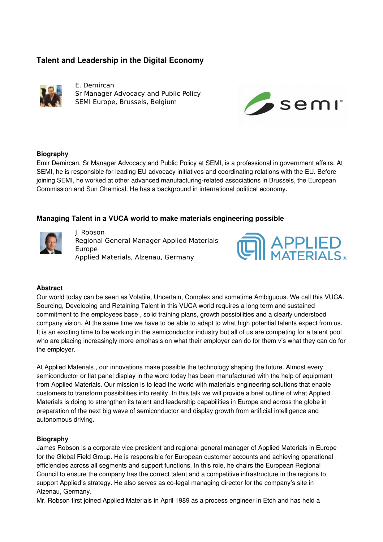# **Talent and Leadership in the Digital Economy**



E. Demircan Sr Manager Advocacy and Public Policy SEMI Europe, Brussels, Belgium



## **Biography**

Emir Demircan, Sr Manager Advocacy and Public Policy at SEMI, is a professional in government affairs. At SEMI, he is responsible for leading EU advocacy initiatives and coordinating relations with the EU. Before joining SEMI, he worked at other advanced manufacturing-related associations in Brussels, the European Commission and Sun Chemical. He has a background in international political economy.

# **Managing Talent in a VUCA world to make materials engineering possible**



J. Robson Regional General Manager Applied Materials Europe Applied Materials, Alzenau, Germany



### **Abstract**

Our world today can be seen as Volatile, Uncertain, Complex and sometime Ambiguous. We call this VUCA. Sourcing, Developing and Retaining Talent in this VUCA world requires a long term and sustained commitment to the employees base , solid training plans, growth possibilities and a clearly understood company vision. At the same time we have to be able to adapt to what high potential talents expect from us. It is an exciting time to be working in the semiconductor industry but all of us are competing for a talent pool who are placing increasingly more emphasis on what their employer can do for them v's what they can do for the employer.

At Applied Materials , our innovations make possible the technology shaping the future. Almost every semiconductor or flat panel display in the word today has been manufactured with the help of equipment from Applied Materials. Our mission is to lead the world with materials engineering solutions that enable customers to transform possibilities into reality. In this talk we will provide a brief outline of what Applied Materials is doing to strengthen its talent and leadership capabilities in Europe and across the globe in preparation of the next big wave of semiconductor and display growth from artificial intelligence and autonomous driving.

### **Biography**

James Robson is a corporate vice president and regional general manager of Applied Materials in Europe for the Global Field Group. He is responsible for European customer accounts and achieving operational efficiencies across all segments and support functions. In this role, he chairs the European Regional Council to ensure the company has the correct talent and a competitive infrastructure in the regions to support Applied's strategy. He also serves as co-legal managing director for the company's site in Alzenau, Germany.

Mr. Robson first joined Applied Materials in April 1989 as a process engineer in Etch and has held a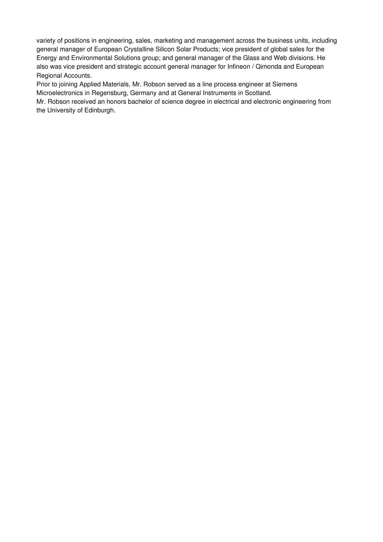variety of positions in engineering, sales, marketing and management across the business units, including general manager of European Crystalline Silicon Solar Products; vice president of global sales for the Energy and Environmental Solutions group; and general manager of the Glass and Web divisions. He also was vice president and strategic account general manager for Infineon / Qimonda and European Regional Accounts.

Prior to joining Applied Materials, Mr. Robson served as a line process engineer at Siemens Microelectronics in Regensburg, Germany and at General Instruments in Scotland.

Mr. Robson received an honors bachelor of science degree in electrical and electronic engineering from the University of Edinburgh.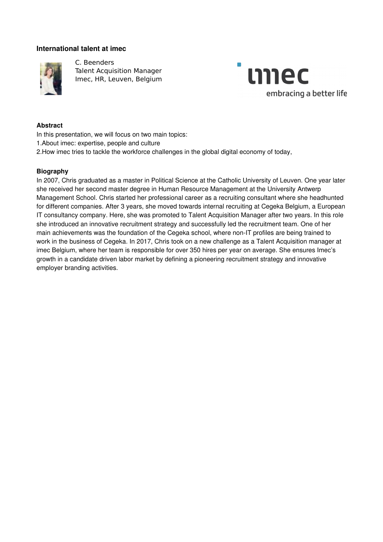# **International talent at imec**



C. Beenders Talent Acquisition Manager Imec, HR, Leuven, Belgium



#### **Abstract**

In this presentation, we will focus on two main topics:

1.About imec: expertise, people and culture

2.How imec tries to tackle the workforce challenges in the global digital economy of today,

#### **Biography**

In 2007, Chris graduated as a master in Political Science at the Catholic University of Leuven. One year later she received her second master degree in Human Resource Management at the University Antwerp Management School. Chris started her professional career as a recruiting consultant where she headhunted for different companies. After 3 years, she moved towards internal recruiting at Cegeka Belgium, a European IT consultancy company. Here, she was promoted to Talent Acquisition Manager after two years. In this role she introduced an innovative recruitment strategy and successfully led the recruitment team. One of her main achievements was the foundation of the Cegeka school, where non-IT profiles are being trained to work in the business of Cegeka. In 2017, Chris took on a new challenge as a Talent Acquisition manager at imec Belgium, where her team is responsible for over 350 hires per year on average. She ensures Imec's growth in a candidate driven labor market by defining a pioneering recruitment strategy and innovative employer branding activities.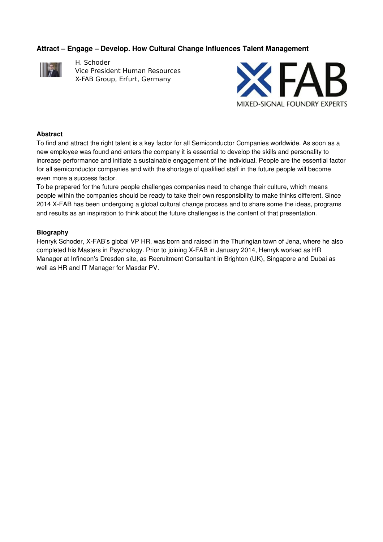# **Attract – Engage – Develop. How Cultural Change Influences Talent Management**



H. Schoder Vice President Human Resources X-FAB Group, Erfurt, Germany



### **Abstract**

To find and attract the right talent is a key factor for all Semiconductor Companies worldwide. As soon as a new employee was found and enters the company it is essential to develop the skills and personality to increase performance and initiate a sustainable engagement of the individual. People are the essential factor for all semiconductor companies and with the shortage of qualified staff in the future people will become even more a success factor.

To be prepared for the future people challenges companies need to change their culture, which means people within the companies should be ready to take their own responsibility to make thinks different. Since 2014 X-FAB has been undergoing a global cultural change process and to share some the ideas, programs and results as an inspiration to think about the future challenges is the content of that presentation.

### **Biography**

Henryk Schoder, X-FAB's global VP HR, was born and raised in the Thuringian town of Jena, where he also completed his Masters in Psychology. Prior to joining X-FAB in January 2014, Henryk worked as HR Manager at Infineon's Dresden site, as Recruitment Consultant in Brighton (UK), Singapore and Dubai as well as HR and IT Manager for Masdar PV.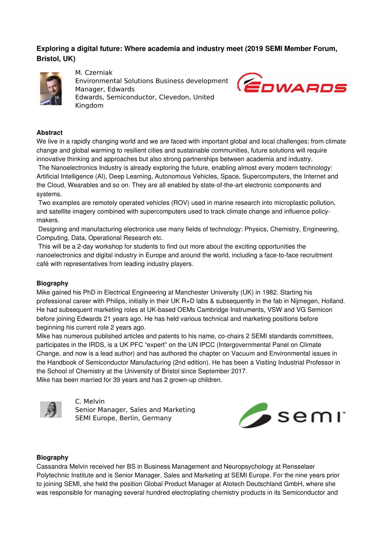# **Exploring a digital future: Where academia and industry meet (2019 SEMI Member Forum, Bristol, UK)**



M. Czerniak Environmental Solutions Business development Manager, Edwards Edwards, Semiconductor, Clevedon, United Kingdom



# **Abstract**

We live in a rapidly changing world and we are faced with important global and local challenges; from climate change and global warming to resilient cities and sustainable communities, future solutions will require innovative thinking and approaches but also strong partnerships between academia and industry.

 The Nanoelectronics Industry is already exploring the future, enabling almost every modern technology: Artificial Intelligence (AI), Deep Learning, Autonomous Vehicles, Space, Supercomputers, the Internet and the Cloud, Wearables and so on. They are all enabled by state-of-the-art electronic components and systems.

 Two examples are remotely operated vehicles (ROV) used in marine research into microplastic pollution, and satellite imagery combined with supercomputers used to track climate change and influence policymakers.

 Designing and manufacturing electronics use many fields of technology: Physics, Chemistry, Engineering, Computing, Data, Operational Research etc.

This will be a 2-day workshop for students to find out more about the exciting opportunities the nanoelectronics and digital industry in Europe and around the world, including a face-to-face recruitment café with representatives from leading industry players.

### **Biography**

Mike gained his PhD in Electrical Engineering at Manchester University (UK) in 1982. Starting his professional career with Philips, initially in their UK R+D labs & subsequently in the fab in Nijmegen, Holland. He had subsequent marketing roles at UK-based OEMs Cambridge Instruments, VSW and VG Semicon before joining Edwards 21 years ago. He has held various technical and marketing positions before beginning his current role 2 years ago.

Mike has numerous published articles and patents to his name, co-chairs 2 SEMI standards committees, participates in the IRDS, is a UK PFC "expert" on the UN IPCC (Intergovernmental Panel on Climate Change, and now is a lead author) and has authored the chapter on Vacuum and Environmental issues in the Handbook of Semiconductor Manufacturing (2nd edition). He has been a Visiting Industrial Professor in the School of Chemistry at the University of Bristol since September 2017. Mike has been married for 39 years and has 2 grown-up children.



C. Melvin Senior Manager, Sales and Marketing SEMI Europe, Berlin, Germany



### **Biography**

Cassandra Melvin received her BS in Business Management and Neuropsychology at Rensselaer Polytechnic Institute and is Senior Manager, Sales and Marketing at SEMI Europe. For the nine years prior to joining SEMI, she held the position Global Product Manager at Atotech Deutschland GmbH, where she was responsible for managing several hundred electroplating chemistry products in its Semiconductor and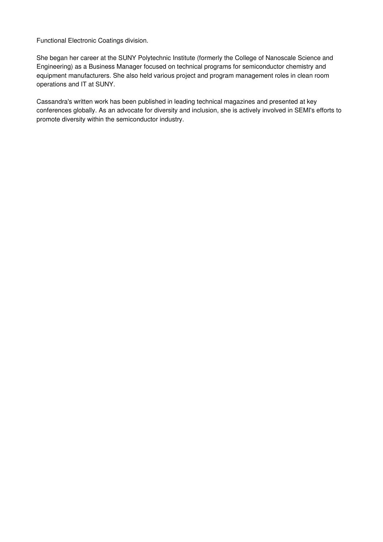Functional Electronic Coatings division.

She began her career at the SUNY Polytechnic Institute (formerly the College of Nanoscale Science and Engineering) as a Business Manager focused on technical programs for semiconductor chemistry and equipment manufacturers. She also held various project and program management roles in clean room operations and IT at SUNY.

Cassandra's written work has been published in leading technical magazines and presented at key conferences globally. As an advocate for diversity and inclusion, she is actively involved in SEMI's efforts to promote diversity within the semiconductor industry.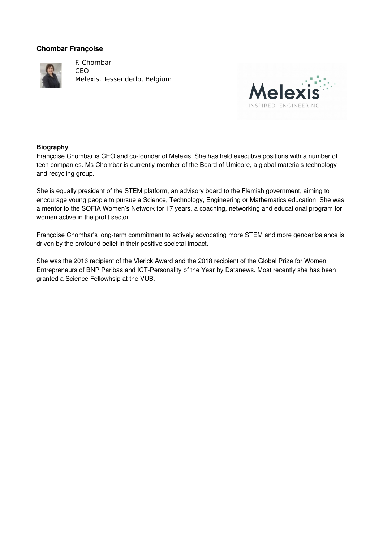# **Chombar Françoise**



F. Chombar CEO Melexis, Tessenderlo, Belgium



### **Biography**

Françoise Chombar is CEO and co-founder of Melexis. She has held executive positions with a number of tech companies. Ms Chombar is currently member of the Board of Umicore, a global materials technology and recycling group.

She is equally president of the STEM platform, an advisory board to the Flemish government, aiming to encourage young people to pursue a Science, Technology, Engineering or Mathematics education. She was a mentor to the SOFIA Women's Network for 17 years, a coaching, networking and educational program for women active in the profit sector.

Françoise Chombar's long-term commitment to actively advocating more STEM and more gender balance is driven by the profound belief in their positive societal impact.

She was the 2016 recipient of the Vlerick Award and the 2018 recipient of the Global Prize for Women Entrepreneurs of BNP Paribas and ICT-Personality of the Year by Datanews. Most recently she has been granted a Science Fellowhsip at the VUB.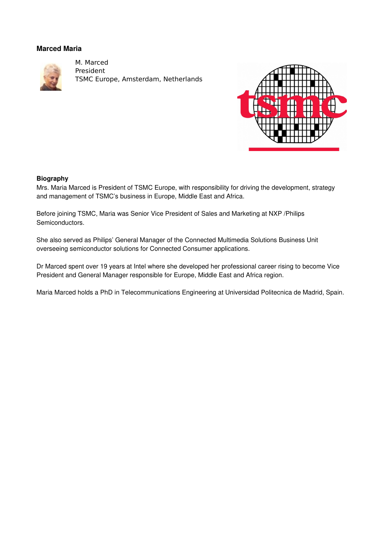# **Marced Maria**



M. Marced President TSMC Europe, Amsterdam, Netherlands



### **Biography**

Mrs. Maria Marced is President of TSMC Europe, with responsibility for driving the development, strategy and management of TSMC's business in Europe, Middle East and Africa.

Before joining TSMC, Maria was Senior Vice President of Sales and Marketing at NXP /Philips Semiconductors.

She also served as Philips' General Manager of the Connected Multimedia Solutions Business Unit overseeing semiconductor solutions for Connected Consumer applications.

Dr Marced spent over 19 years at Intel where she developed her professional career rising to become Vice President and General Manager responsible for Europe, Middle East and Africa region.

Maria Marced holds a PhD in Telecommunications Engineering at Universidad Politecnica de Madrid, Spain.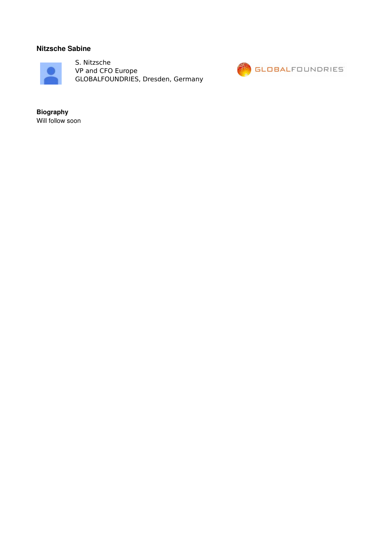# **Nitzsche Sabine**



S. Nitzsche VP and CFO Europe GLOBALFOUNDRIES, Dresden, Germany



**Biography** Will follow soon